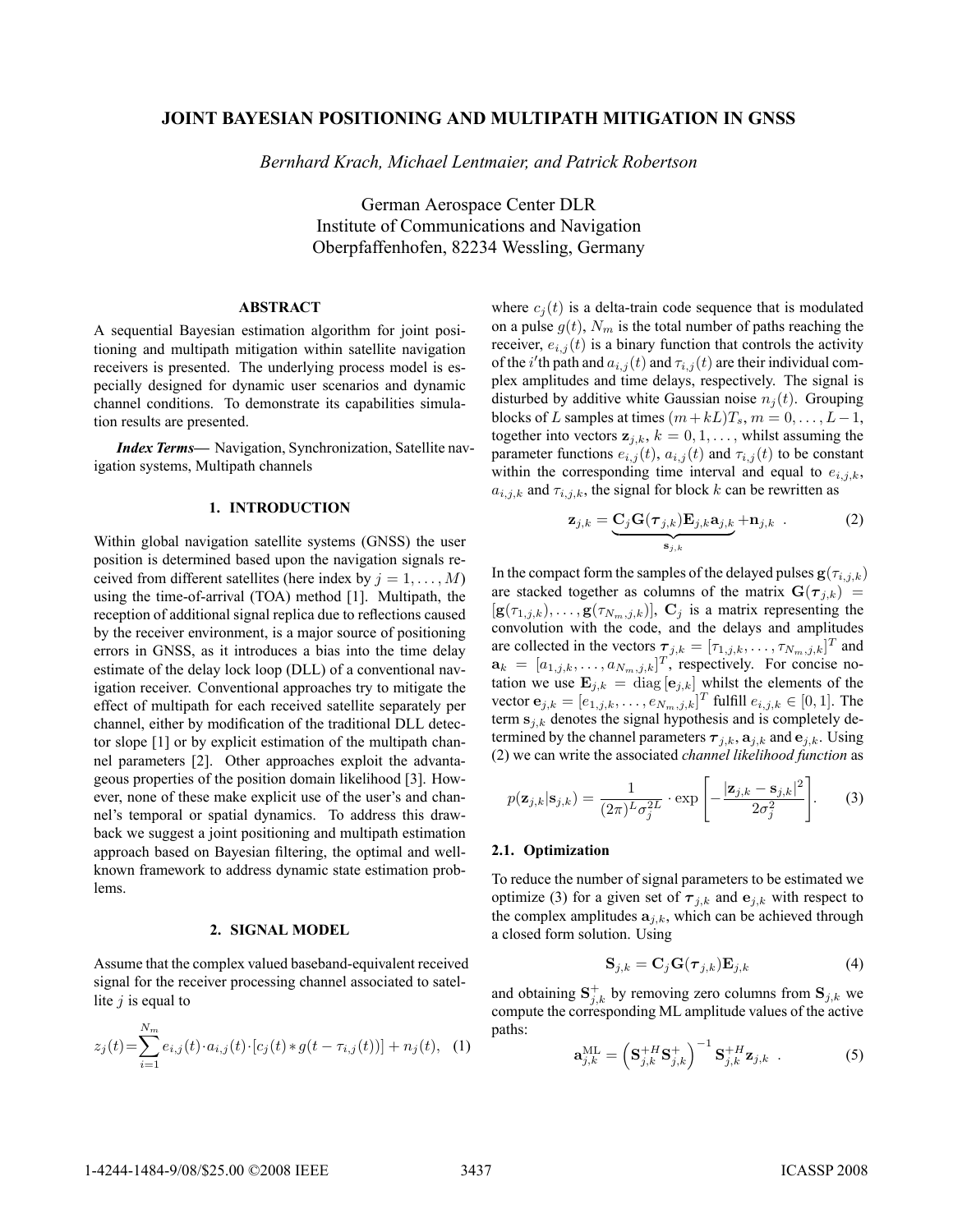# **JOINT BAYESIAN POSITIONING AND MULTIPATH MITIGATION IN GNSS**

*Bernhard Krach, Michael Lentmaier, and Patrick Robertson*

German Aerospace Center DLR Institute of Communications and Navigation Oberpfaffenhofen, 82234 Wessling, Germany

# **ABSTRACT**

A sequential Bayesian estimation algorithm for joint positioning and multipath mitigation within satellite navigation receivers is presented. The underlying process model is especially designed for dynamic user scenarios and dynamic channel conditions. To demonstrate its capabilities simulation results are presented.

*Index Terms***—** Navigation, Synchronization, Satellite navigation systems, Multipath channels

## **1. INTRODUCTION**

Within global navigation satellite systems (GNSS) the user position is determined based upon the navigation signals received from different satellites (here index by  $j = 1, \ldots, M$ ) using the time-of-arrival (TOA) method [1]. Multipath, the reception of additional signal replica due to reflections caused by the receiver environment, is a major source of positioning errors in GNSS, as it introduces a bias into the time delay estimate of the delay lock loop (DLL) of a conventional navigation receiver. Conventional approaches try to mitigate the effect of multipath for each received satellite separately per channel, either by modification of the traditional DLL detector slope [1] or by explicit estimation of the multipath channel parameters [2]. Other approaches exploit the advantageous properties of the position domain likelihood [3]. However, none of these make explicit use of the user's and channel's temporal or spatial dynamics. To address this drawback we suggest a joint positioning and multipath estimation approach based on Bayesian filtering, the optimal and wellknown framework to address dynamic state estimation problems.

### **2. SIGNAL MODEL**

Assume that the complex valued baseband-equivalent received signal for the receiver processing channel associated to satellite  $j$  is equal to

$$
z_j(t) = \sum_{i=1}^{N_m} e_{i,j}(t) \cdot a_{i,j}(t) \cdot [c_j(t) * g(t - \tau_{i,j}(t))] + n_j(t), \quad (1)
$$

where  $c_i(t)$  is a delta-train code sequence that is modulated on a pulse  $g(t)$ ,  $N_m$  is the total number of paths reaching the receiver,  $e_{i,j}(t)$  is a binary function that controls the activity of the i'th path and  $a_{i,j}(t)$  and  $\tau_{i,j}(t)$  are their individual complex amplitudes and time delays, respectively. The signal is disturbed by additive white Gaussian noise  $n_i(t)$ . Grouping blocks of L samples at times  $(m+kL)T_s$ ,  $m = 0, \ldots, L-1$ , together into vectors  $z_{j,k}$ ,  $k = 0, 1, \ldots$ , whilst assuming the parameter functions  $e_{i,j}(t)$ ,  $a_{i,j}(t)$  and  $\tau_{i,j}(t)$  to be constant within the corresponding time interval and equal to  $e_{i,j,k}$ ,  $a_{i,j,k}$  and  $\tau_{i,j,k}$ , the signal for block k can be rewritten as

$$
\mathbf{z}_{j,k} = \underbrace{\mathbf{C}_j \mathbf{G}(\boldsymbol{\tau}_{j,k}) \mathbf{E}_{j,k} \mathbf{a}_{j,k}}_{\mathbf{s}_{j,k}} + \mathbf{n}_{j,k} .
$$
 (2)

In the compact form the samples of the delayed pulses  $\mathbf{g}(\tau_{i,j,k})$ are stacked together as columns of the matrix  $\mathbf{G}(\tau_{j,k})$  =  $[\mathbf{g}(\tau_{1,j,k}),\ldots,\mathbf{g}(\tau_{N_m,j,k})]$ ,  $\mathbf{C}_j$  is a matrix representing the convolution with the code, and the delays and amplitudes are collected in the vectors  $\boldsymbol{\tau}_{j,k} = [\tau_{1,j,k}, \dots, \tau_{N_m,j,k}]^T$  and  $\mathbf{a}_k = [a_{1,j,k}, \dots, a_{N_m,j,k}]^T$ , respectively. For concise no-<br>tation we use  $\mathbf{E}_{\text{max}} = \text{diag}[\mathbf{a}_{1,1}]$  whilst the elements of the tation we use  $\mathbf{E}_{j,k} = \text{diag}[\mathbf{e}_{j,k}]$  whilst the elements of the vector  $\mathbf{e}_{j,k} = [e_{j,j,k}]$  of  $\mathbf{e}_{j,k}$  is  $\mathbf{e}_{j,k}$  of  $[0,1]$ . The vector  $\mathbf{e}_{j,k} = [e_{1,j,k}, \dots, e_{N_m,j,k}]^T$  fulfill  $e_{i,j,k} \in [0,1]$ . The term  $\mathbf{s}_{i,j,k}$  denotes the signal hypothesis and is completely determ  $s_{j,k}$  denotes the signal hypothesis and is completely determined by the channel parameters  $\tau_{i,k}$ ,  $\mathbf{a}_{i,k}$  and  $\mathbf{e}_{i,k}$ . Using (2) we can write the associated *channel likelihood function* as

$$
p(\mathbf{z}_{j,k}|\mathbf{s}_{j,k}) = \frac{1}{(2\pi)^L \sigma_j^{2L}} \cdot \exp\left[-\frac{|\mathbf{z}_{j,k} - \mathbf{s}_{j,k}|^2}{2\sigma_j^2}\right].
$$
 (3)

#### **2.1. Optimization**

To reduce the number of signal parameters to be estimated we optimize (3) for a given set of  $\tau_{j,k}$  and  $e_{j,k}$  with respect to the complex amplitudes  $a_{j,k}$ , which can be achieved through a closed form solution. Using

$$
\mathbf{S}_{j,k} = \mathbf{C}_j \mathbf{G}(\boldsymbol{\tau}_{j,k}) \mathbf{E}_{j,k}
$$
 (4)

and obtaining  $S_{j,k}^+$  by removing zero columns from  $S_{j,k}$  we<br>compute the corresponding ML applitude values of the active compute the corresponding ML amplitude values of the active paths:

$$
\mathbf{a}_{j,k}^{\mathrm{ML}} = \left(\mathbf{S}_{j,k}^{+H} \mathbf{S}_{j,k}^{+}\right)^{-1} \mathbf{S}_{j,k}^{+H} \mathbf{z}_{j,k} . \qquad (5)
$$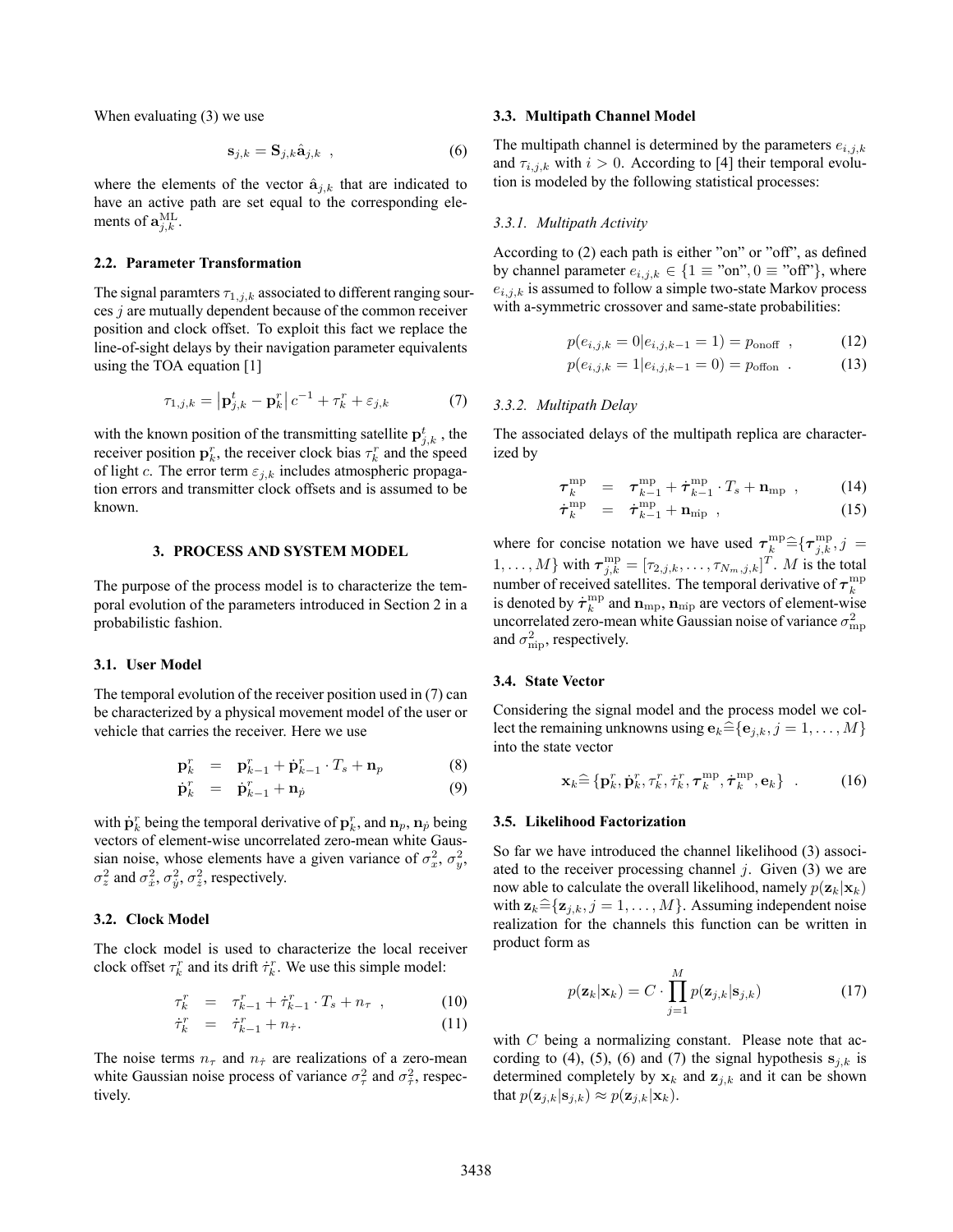When evaluating (3) we use

$$
\mathbf{s}_{j,k} = \mathbf{S}_{j,k} \hat{\mathbf{a}}_{j,k} \quad , \tag{6}
$$

where the elements of the vector  $\hat{\mathbf{a}}_{i,k}$  that are indicated to have an active path are set equal to the corresponding elements of  $\mathbf{a}_{j,k}^{\text{ML}}$ .

## **2.2. Parameter Transformation**

The signal paramters  $\tau_{1,j,k}$  associated to different ranging sources j are mutually dependent because of the common receiver position and clock offset. To exploit this fact we replace the line-of-sight delays by their navigation parameter equivalents using the TOA equation [1]

$$
\tau_{1,j,k} = \left| \mathbf{p}_{j,k}^t - \mathbf{p}_k^r \right| c^{-1} + \tau_k^r + \varepsilon_{j,k} \tag{7}
$$

with the known position of the transmitting satellite  $\mathbf{p}_{j,k}^t$ , the receiver position  $\mathbf{p}_k^r$ , the receiver clock bias  $\tau^r$  and the speed receiver position  $\mathbf{p}_k^r$ , the receiver clock bias  $\tau_k^r$  and the speed<br>of light c. The error term  $\varepsilon_{kk}$ , includes atmospheric propagaof light c. The error term  $\varepsilon_{i,k}$  includes atmospheric propagation errors and transmitter clock offsets and is assumed to be known.

# **3. PROCESS AND SYSTEM MODEL**

The purpose of the process model is to characterize the temporal evolution of the parameters introduced in Section 2 in a probabilistic fashion.

# **3.1. User Model**

The temporal evolution of the receiver position used in (7) can be characterized by a physical movement model of the user or vehicle that carries the receiver. Here we use

$$
\mathbf{p}_k^r = \mathbf{p}_{k-1}^r + \dot{\mathbf{p}}_{k-1}^r \cdot T_s + \mathbf{n}_p \tag{8}
$$

$$
\dot{\mathbf{p}}_k^r = \dot{\mathbf{p}}_{k-1}^r + \mathbf{n}_p \tag{9}
$$

with  $\dot{\mathbf{p}}_k^r$  being the temporal derivative of  $\mathbf{p}_k^r$ , and  $\mathbf{n}_p$ ,  $\mathbf{n}_p$  being<br>vectors of element-wise uncorrelated zero-mean white Gausvectors of element-wise uncorrelated zero-mean white Gaussian noise, whose elements have a given variance of  $\sigma_x^2$ ,  $\sigma_y^2$ ,  $\sigma_z^2$  and  $\sigma_x^2$ ,  $\sigma_y^2$ ,  $\sigma_z^2$ , respectively.

# **3.2. Clock Model**

The clock model is used to characterize the local receiver clock offset  $\tau_k^r$  and its drift  $\dot{\tau}_k^r$ . We use this simple model:

$$
\tau_k^r = \tau_{k-1}^r + \dot{\tau}_{k-1}^r \cdot T_s + n_\tau , \qquad (10)
$$

$$
\dot{\tau}_k^r = \dot{\tau}_{k-1}^r + n_{\dot{\tau}}.\tag{11}
$$

The noise terms  $n_{\tau}$  and  $n_{\tau}$  are realizations of a zero-mean white Gaussian noise process of variance  $\sigma_{\tau}^2$  and  $\sigma_{\tau}^2$ , respectively.

#### **3.3. Multipath Channel Model**

The multipath channel is determined by the parameters  $e_{i,j,k}$ and  $\tau_{i,j,k}$  with  $i > 0$ . According to [4] their temporal evolution is modeled by the following statistical processes:

### *3.3.1. Multipath Activity*

According to (2) each path is either "on" or "off", as defined by channel parameter  $e_{i,j,k} \in \{1 \equiv \text{``on''}, 0 \equiv \text{``off''}\}\,$ , where  $e_{i,j,k}$  is assumed to follow a simple two-state Markov process with a-symmetric crossover and same-state probabilities:

$$
p(e_{i,j,k} = 0|e_{i,j,k-1} = 1) = p_{\text{onoff}} \t{,} \t(12)
$$

$$
p(e_{i,j,k} = 1 | e_{i,j,k-1} = 0) = p_{\text{offon}} \tag{13}
$$

## *3.3.2. Multipath Delay*

The associated delays of the multipath replica are characterized by

$$
\tau_{k}^{\text{mp}} = \tau_{k-1}^{\text{mp}} + \dot{\tau}_{k-1}^{\text{mp}} \cdot T_s + \mathbf{n}_{\text{mp}} \,, \tag{14}
$$

$$
\dot{\boldsymbol{\tau}}_k^{\text{mp}} = \dot{\boldsymbol{\tau}}_{k-1}^{\text{mp}} + \mathbf{n}_{\text{mp}} \t{,} \t(15)
$$

where for concise notation we have used  $\tau_k^{\text{mp}} \hat{=} {\{\tau_{j,k}^{\text{mp}}}, j =$  $\{1,\ldots,M\}$  with  $\boldsymbol{\tau}_{j,k}^{\mathrm{mp}} = [\tau_{2,j,k},\ldots,\tau_{N_m,j,k}]^T$ . M is the total number of received satellites. The temporal derivative of  $\tau_k^{\text{mp}}$ is denoted by  $\dot{\tau}_k^{\text{mp}}$  and  $\mathbf{n}_{\text{mp}}$ ,  $\mathbf{n}_{\text{min}}$  are vectors of element-wise<br>uncorrelated zero-mean white Gaussian noise of variance  $\sigma^2$ uncorrelated zero-mean white Gaussian noise of variance  $\sigma_{\rm mp}^2$ and  $\sigma_{\rm inp}^2$ , respectively.

#### **3.4. State Vector**

Considering the signal model and the process model we collect the remaining unknowns using  ${\bf e}_k \widehat{=} \{ {\bf e}_{i,k}, j = 1, \ldots, M \}$ into the state vector

$$
\mathbf{x}_k \widehat{=} \{\mathbf{p}_k^r, \dot{\mathbf{p}}_k^r, \tau_k^r, \dot{\tau}_k^r, \boldsymbol{\tau}_k^{\text{mp}}, \dot{\boldsymbol{\tau}}_k^{\text{mp}}, \mathbf{e}_k\} \quad . \tag{16}
$$

## **3.5. Likelihood Factorization**

So far we have introduced the channel likelihood (3) associated to the receiver processing channel  $j$ . Given (3) we are now able to calculate the overall likelihood, namely  $p(\mathbf{z}_k|\mathbf{x}_k)$ with  $z_k \widehat{=} \{z_{j,k}, j = 1, \ldots, M\}$ . Assuming independent noise realization for the channels this function can be written in product form as

$$
p(\mathbf{z}_k|\mathbf{x}_k) = C \cdot \prod_{j=1}^M p(\mathbf{z}_{j,k}|\mathbf{s}_{j,k})
$$
 (17)

with  $C$  being a normalizing constant. Please note that according to (4), (5), (6) and (7) the signal hypothesis  $s_{j,k}$  is determined completely by  $x_k$  and  $z_{j,k}$  and it can be shown that  $p(\mathbf{z}_{j,k}|\mathbf{s}_{j,k}) \approx p(\mathbf{z}_{j,k}|\mathbf{x}_k)$ .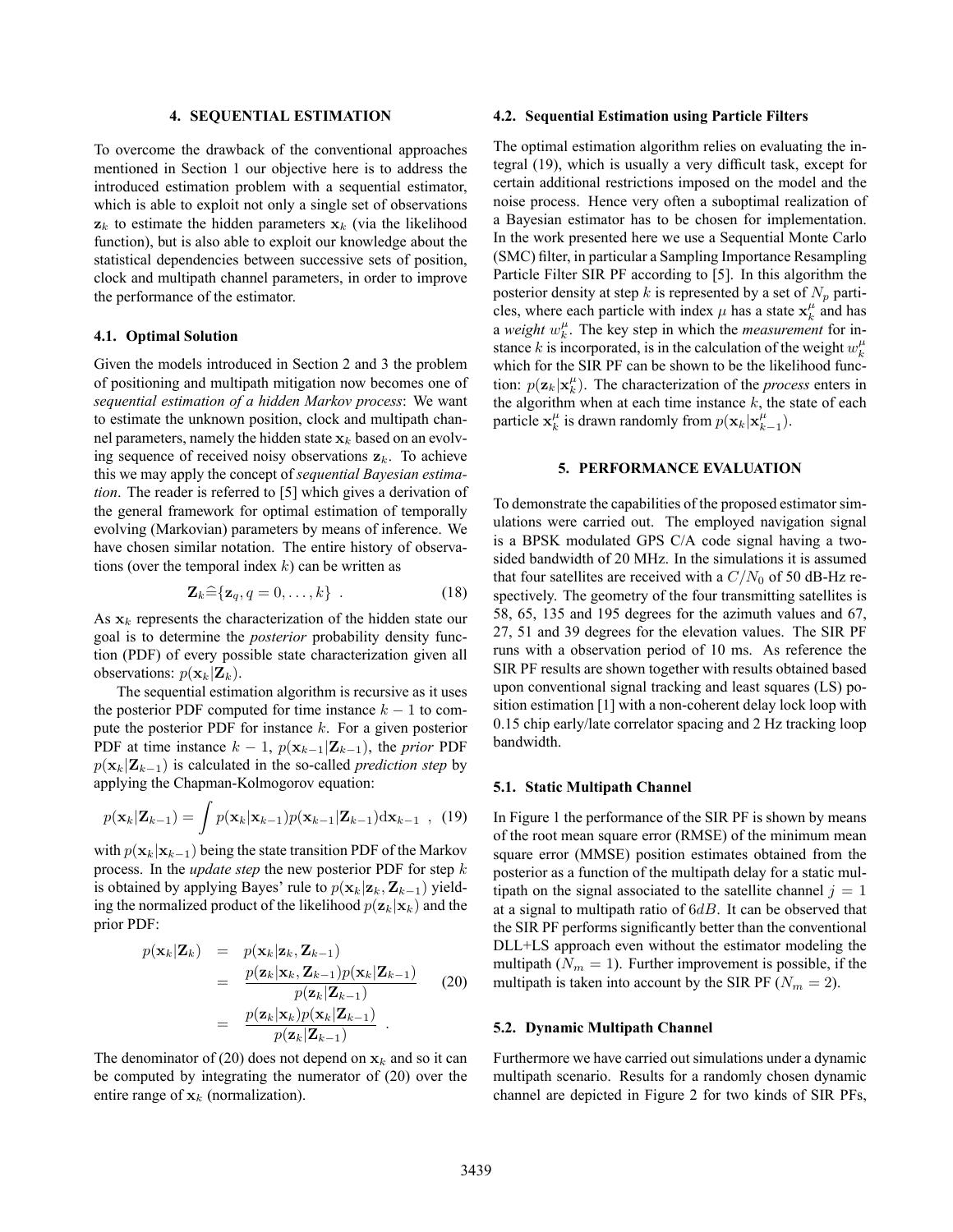# **4. SEQUENTIAL ESTIMATION**

To overcome the drawback of the conventional approaches mentioned in Section 1 our objective here is to address the introduced estimation problem with a sequential estimator, which is able to exploit not only a single set of observations  $z_k$  to estimate the hidden parameters  $x_k$  (via the likelihood function), but is also able to exploit our knowledge about the statistical dependencies between successive sets of position, clock and multipath channel parameters, in order to improve the performance of the estimator.

### **4.1. Optimal Solution**

Given the models introduced in Section 2 and 3 the problem of positioning and multipath mitigation now becomes one of *sequential estimation of a hidden Markov process*: We want to estimate the unknown position, clock and multipath channel parameters, namely the hidden state  $\mathbf{x}_k$  based on an evolving sequence of received noisy observations  $z_k$ . To achieve this we may apply the concept of *sequential Bayesian estimation*. The reader is referred to [5] which gives a derivation of the general framework for optimal estimation of temporally evolving (Markovian) parameters by means of inference. We have chosen similar notation. The entire history of observations (over the temporal index  $k$ ) can be written as

$$
\mathbf{Z}_k \widehat{=} \{ \mathbf{z}_q, q = 0, \dots, k \} \quad . \tag{18}
$$

As  $x_k$  represents the characterization of the hidden state our goal is to determine the *posterior* probability density function (PDF) of every possible state characterization given all observations:  $p(\mathbf{x}_k|\mathbf{Z}_k)$ .

The sequential estimation algorithm is recursive as it uses the posterior PDF computed for time instance  $k - 1$  to compute the posterior PDF for instance k. For a given posterior PDF at time instance  $k - 1$ ,  $p(\mathbf{x}_{k-1}|\mathbf{Z}_{k-1})$ , the *prior* PDF  $p(\mathbf{x}_k|\mathbf{Z}_{k-1})$  is calculated in the so-called *prediction step* by applying the Chapman-Kolmogorov equation:

$$
p(\mathbf{x}_k|\mathbf{Z}_{k-1}) = \int p(\mathbf{x}_k|\mathbf{x}_{k-1})p(\mathbf{x}_{k-1}|\mathbf{Z}_{k-1})\mathrm{d}\mathbf{x}_{k-1} \quad , \quad (19)
$$

with  $p(\mathbf{x}_k|\mathbf{x}_{k-1})$  being the state transition PDF of the Markov process. In the *update step* the new posterior PDF for step k is obtained by applying Bayes' rule to  $p(\mathbf{x}_k|\mathbf{z}_k, \mathbf{Z}_{k-1})$  yielding the normalized product of the likelihood  $p(\mathbf{z}_k|\mathbf{x}_k)$  and the prior PDF:

$$
p(\mathbf{x}_k|\mathbf{Z}_k) = p(\mathbf{x}_k|\mathbf{z}_k, \mathbf{Z}_{k-1})
$$
  
\n
$$
= \frac{p(\mathbf{z}_k|\mathbf{x}_k, \mathbf{Z}_{k-1})p(\mathbf{x}_k|\mathbf{Z}_{k-1})}{p(\mathbf{z}_k|\mathbf{Z}_{k-1})}
$$
(20)  
\n
$$
= \frac{p(\mathbf{z}_k|\mathbf{x}_k)p(\mathbf{x}_k|\mathbf{Z}_{k-1})}{p(\mathbf{z}_k|\mathbf{Z}_{k-1})}.
$$

The denominator of (20) does not depend on  $x_k$  and so it can be computed by integrating the numerator of (20) over the entire range of  $x_k$  (normalization).

## **4.2. Sequential Estimation using Particle Filters**

The optimal estimation algorithm relies on evaluating the integral (19), which is usually a very difficult task, except for certain additional restrictions imposed on the model and the noise process. Hence very often a suboptimal realization of a Bayesian estimator has to be chosen for implementation. In the work presented here we use a Sequential Monte Carlo (SMC) filter, in particular a Sampling Importance Resampling Particle Filter SIR PF according to [5]. In this algorithm the posterior density at step k is represented by a set of  $N_p$  particles, where each particle with index  $\mu$  has a state  $\mathbf{x}_k^{\mu}$  and has a *weight*  $w_k^{\mu}$ . The key step in which the *measurement* for instance k is incorporated, is in the calculation of the weight  $w_k^{\mu}$ which for the SIR PF can be shown to be the likelihood function:  $p(\mathbf{z}_k|\mathbf{x}_k^{\mu})$ . The characterization of the *process* enters in the algorithm when at each time instance *k*, the state of each the algorithm when at each time instance  $k$ , the state of each particle  $\mathbf{x}_k^{\mu}$  is drawn randomly from  $p(\mathbf{x}_k|\mathbf{x}_{k-1}^{\mu})$ .

### **5. PERFORMANCE EVALUATION**

To demonstrate the capabilities of the proposed estimator simulations were carried out. The employed navigation signal is a BPSK modulated GPS C/A code signal having a twosided bandwidth of 20 MHz. In the simulations it is assumed that four satellites are received with a  $C/N_0$  of 50 dB-Hz respectively. The geometry of the four transmitting satellites is 58, 65, 135 and 195 degrees for the azimuth values and 67, 27, 51 and 39 degrees for the elevation values. The SIR PF runs with a observation period of 10 ms. As reference the SIR PF results are shown together with results obtained based upon conventional signal tracking and least squares (LS) position estimation [1] with a non-coherent delay lock loop with 0.15 chip early/late correlator spacing and 2 Hz tracking loop bandwidth.

### **5.1. Static Multipath Channel**

In Figure 1 the performance of the SIR PF is shown by means of the root mean square error (RMSE) of the minimum mean square error (MMSE) position estimates obtained from the posterior as a function of the multipath delay for a static multipath on the signal associated to the satellite channel  $j = 1$ at a signal to multipath ratio of  $6dB$ . It can be observed that the SIR PF performs significantly better than the conventional DLL+LS approach even without the estimator modeling the multipath ( $N_m = 1$ ). Further improvement is possible, if the multipath is taken into account by the SIR PF ( $N_m = 2$ ).

## **5.2. Dynamic Multipath Channel**

Furthermore we have carried out simulations under a dynamic multipath scenario. Results for a randomly chosen dynamic channel are depicted in Figure 2 for two kinds of SIR PFs,